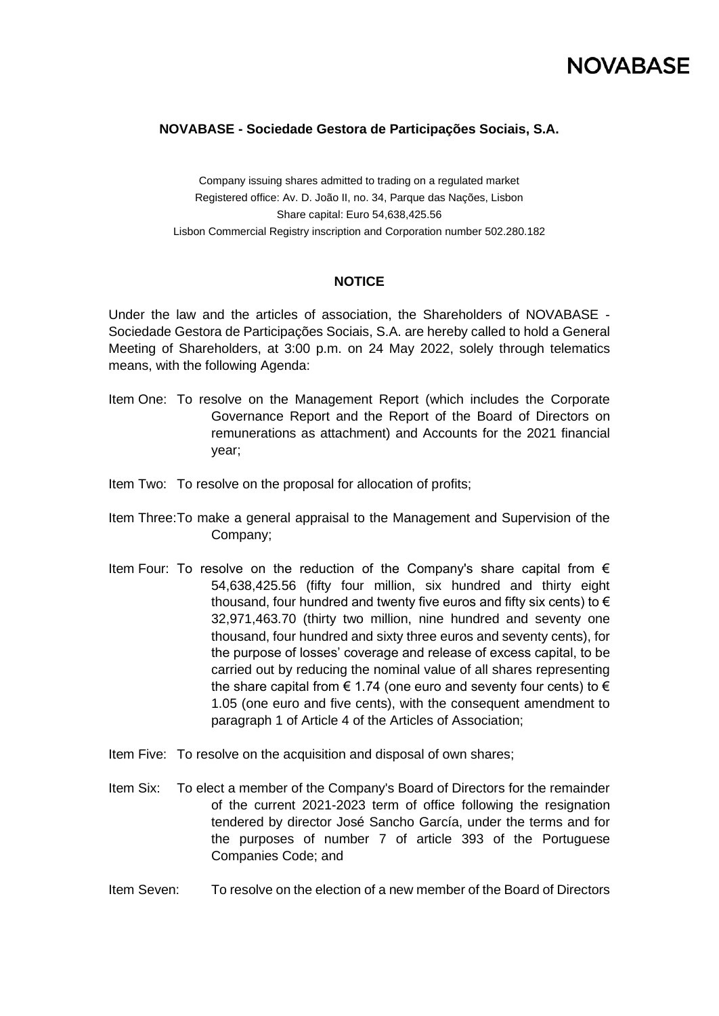### **NOVABASE - Sociedade Gestora de Participações Sociais, S.A.**

Company issuing shares admitted to trading on a regulated market Registered office: Av. D. João II, no. 34, Parque das Nações, Lisbon Share capital: Euro 54,638,425.56 Lisbon Commercial Registry inscription and Corporation number 502.280.182

#### **NOTICE**

Under the law and the articles of association, the Shareholders of NOVABASE - Sociedade Gestora de Participações Sociais, S.A. are hereby called to hold a General Meeting of Shareholders, at 3:00 p.m. on 24 May 2022, solely through telematics means, with the following Agenda:

- Item One: To resolve on the Management Report (which includes the Corporate Governance Report and the Report of the Board of Directors on remunerations as attachment) and Accounts for the 2021 financial year;
- Item Two: To resolve on the proposal for allocation of profits;
- Item Three:To make a general appraisal to the Management and Supervision of the Company;
- Item Four: To resolve on the reduction of the Company's share capital from  $\epsilon$ 54,638,425.56 (fifty four million, six hundred and thirty eight thousand, four hundred and twenty five euros and fifty six cents) to  $\epsilon$ 32,971,463.70 (thirty two million, nine hundred and seventy one thousand, four hundred and sixty three euros and seventy cents), for the purpose of losses' coverage and release of excess capital, to be carried out by reducing the nominal value of all shares representing the share capital from  $\epsilon$  1.74 (one euro and seventy four cents) to  $\epsilon$ 1.05 (one euro and five cents), with the consequent amendment to paragraph 1 of Article 4 of the Articles of Association;
- Item Five: To resolve on the acquisition and disposal of own shares;
- Item Six: To elect a member of the Company's Board of Directors for the remainder of the current 2021-2023 term of office following the resignation tendered by director José Sancho García, under the terms and for the purposes of number 7 of article 393 of the Portuguese Companies Code; and
- Item Seven: To resolve on the election of a new member of the Board of Directors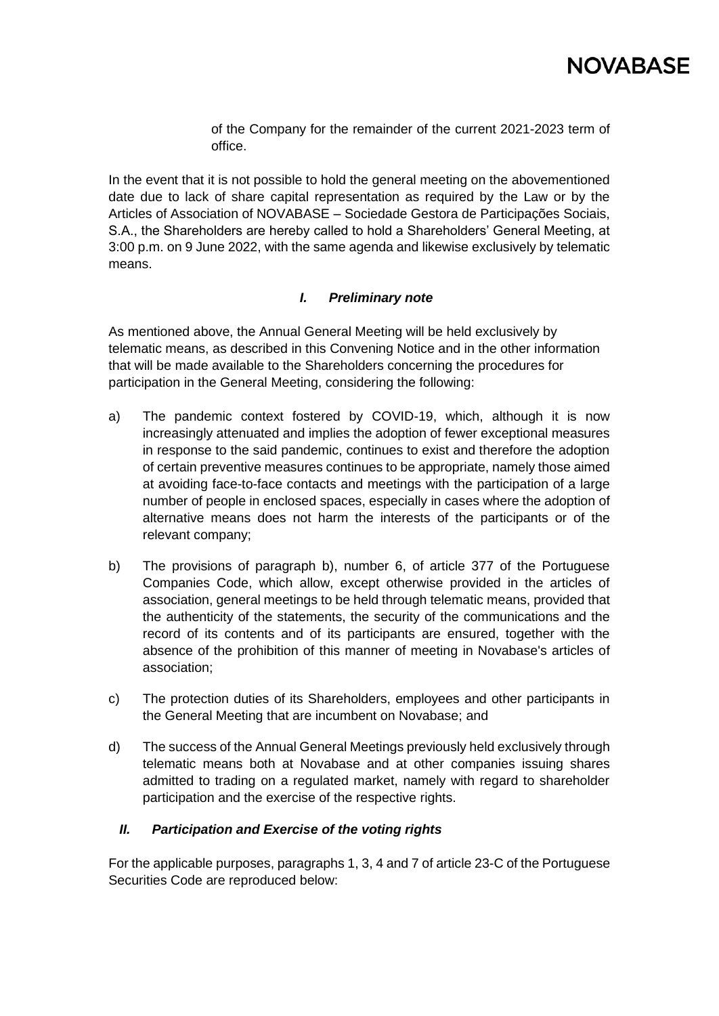

of the Company for the remainder of the current 2021-2023 term of office.

In the event that it is not possible to hold the general meeting on the abovementioned date due to lack of share capital representation as required by the Law or by the Articles of Association of NOVABASE – Sociedade Gestora de Participações Sociais, S.A., the Shareholders are hereby called to hold a Shareholders' General Meeting, at 3:00 p.m. on 9 June 2022, with the same agenda and likewise exclusively by telematic means.

#### *I. Preliminary note*

As mentioned above, the Annual General Meeting will be held exclusively by telematic means, as described in this Convening Notice and in the other information that will be made available to the Shareholders concerning the procedures for participation in the General Meeting, considering the following:

- a) The pandemic context fostered by COVID-19, which, although it is now increasingly attenuated and implies the adoption of fewer exceptional measures in response to the said pandemic, continues to exist and therefore the adoption of certain preventive measures continues to be appropriate, namely those aimed at avoiding face-to-face contacts and meetings with the participation of a large number of people in enclosed spaces, especially in cases where the adoption of alternative means does not harm the interests of the participants or of the relevant company;
- b) The provisions of paragraph b), number 6, of article 377 of the Portuguese Companies Code, which allow, except otherwise provided in the articles of association, general meetings to be held through telematic means, provided that the authenticity of the statements, the security of the communications and the record of its contents and of its participants are ensured, together with the absence of the prohibition of this manner of meeting in Novabase's articles of association;
- c) The protection duties of its Shareholders, employees and other participants in the General Meeting that are incumbent on Novabase; and
- d) The success of the Annual General Meetings previously held exclusively through telematic means both at Novabase and at other companies issuing shares admitted to trading on a regulated market, namely with regard to shareholder participation and the exercise of the respective rights.

#### *II. Participation and Exercise of the voting rights*

For the applicable purposes, paragraphs 1, 3, 4 and 7 of article 23-C of the Portuguese Securities Code are reproduced below: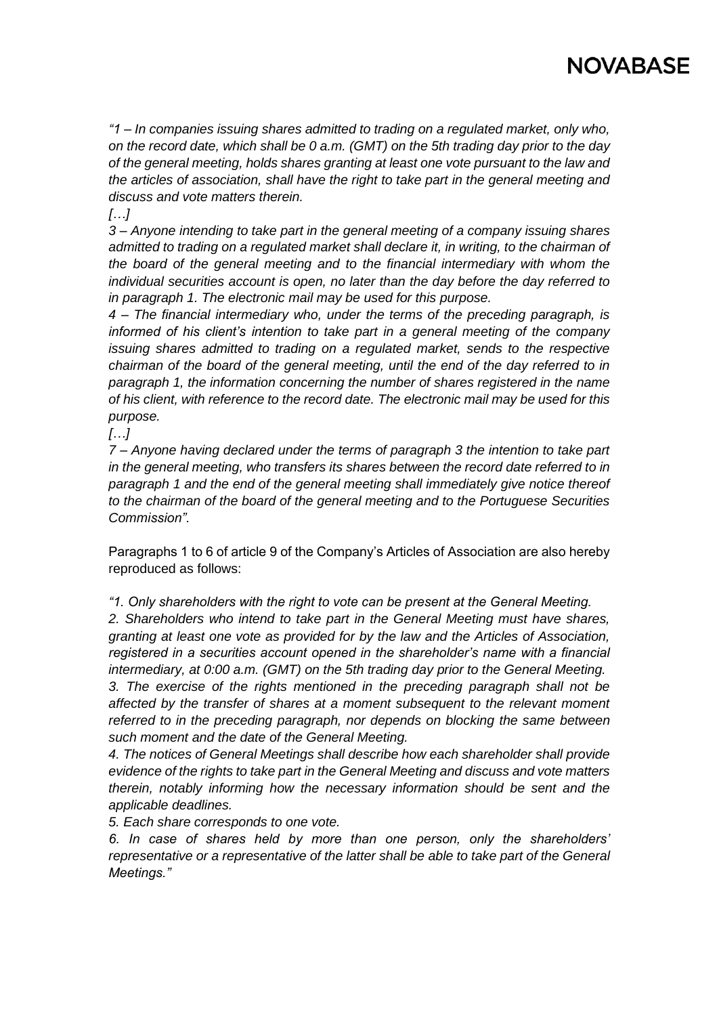# **NOVABASE**

*"1 – In companies issuing shares admitted to trading on a regulated market, only who, on the record date, which shall be 0 a.m. (GMT) on the 5th trading day prior to the day of the general meeting, holds shares granting at least one vote pursuant to the law and the articles of association, shall have the right to take part in the general meeting and discuss and vote matters therein.*

*[…]*

*3 – Anyone intending to take part in the general meeting of a company issuing shares admitted to trading on a regulated market shall declare it, in writing, to the chairman of the board of the general meeting and to the financial intermediary with whom the individual securities account is open, no later than the day before the day referred to in paragraph 1. The electronic mail may be used for this purpose.*

*4 – The financial intermediary who, under the terms of the preceding paragraph, is informed of his client's intention to take part in a general meeting of the company issuing shares admitted to trading on a regulated market, sends to the respective chairman of the board of the general meeting, until the end of the day referred to in paragraph 1, the information concerning the number of shares registered in the name of his client, with reference to the record date. The electronic mail may be used for this purpose.*

*[…]*

*7 – Anyone having declared under the terms of paragraph 3 the intention to take part in the general meeting, who transfers its shares between the record date referred to in paragraph 1 and the end of the general meeting shall immediately give notice thereof to the chairman of the board of the general meeting and to the Portuguese Securities Commission".*

Paragraphs 1 to 6 of article 9 of the Company's Articles of Association are also hereby reproduced as follows:

*"1. Only shareholders with the right to vote can be present at the General Meeting.*

*2. Shareholders who intend to take part in the General Meeting must have shares, granting at least one vote as provided for by the law and the Articles of Association, registered in a securities account opened in the shareholder's name with a financial intermediary, at 0:00 a.m. (GMT) on the 5th trading day prior to the General Meeting. 3. The exercise of the rights mentioned in the preceding paragraph shall not be affected by the transfer of shares at a moment subsequent to the relevant moment referred to in the preceding paragraph, nor depends on blocking the same between such moment and the date of the General Meeting.*

*4. The notices of General Meetings shall describe how each shareholder shall provide evidence of the rights to take part in the General Meeting and discuss and vote matters therein, notably informing how the necessary information should be sent and the applicable deadlines.*

*5. Each share corresponds to one vote.*

*6. In case of shares held by more than one person, only the shareholders' representative or a representative of the latter shall be able to take part of the General Meetings."*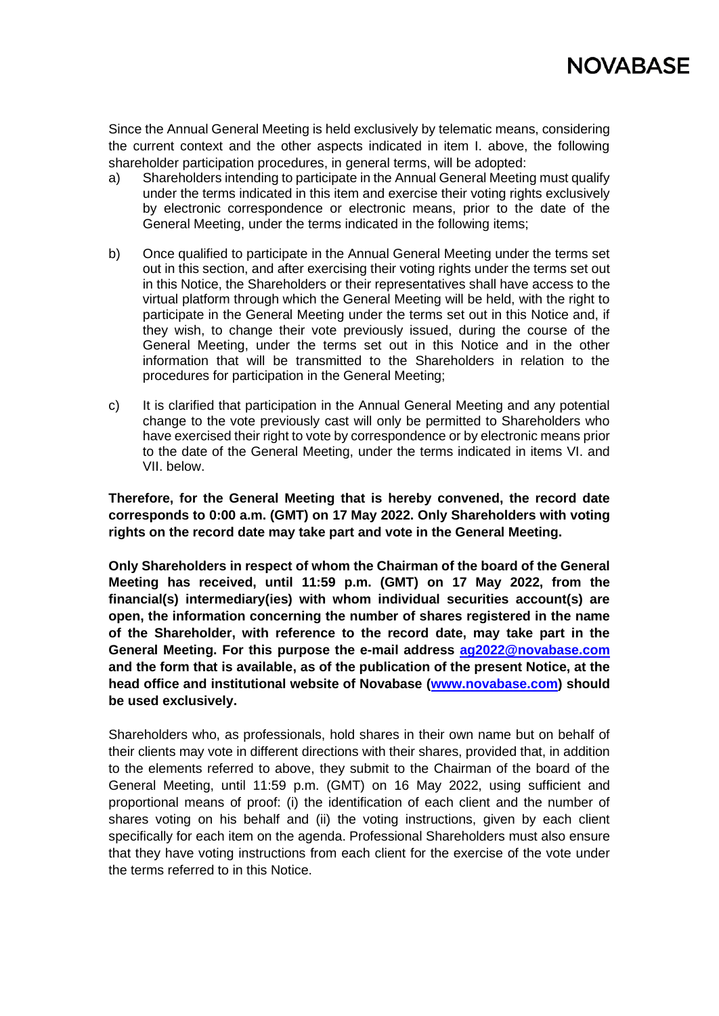

Since the Annual General Meeting is held exclusively by telematic means, considering the current context and the other aspects indicated in item I. above, the following shareholder participation procedures, in general terms, will be adopted:

- a) Shareholders intending to participate in the Annual General Meeting must qualify under the terms indicated in this item and exercise their voting rights exclusively by electronic correspondence or electronic means, prior to the date of the General Meeting, under the terms indicated in the following items;
- b) Once qualified to participate in the Annual General Meeting under the terms set out in this section, and after exercising their voting rights under the terms set out in this Notice, the Shareholders or their representatives shall have access to the virtual platform through which the General Meeting will be held, with the right to participate in the General Meeting under the terms set out in this Notice and, if they wish, to change their vote previously issued, during the course of the General Meeting, under the terms set out in this Notice and in the other information that will be transmitted to the Shareholders in relation to the procedures for participation in the General Meeting;
- c) It is clarified that participation in the Annual General Meeting and any potential change to the vote previously cast will only be permitted to Shareholders who have exercised their right to vote by correspondence or by electronic means prior to the date of the General Meeting, under the terms indicated in items VI. and VII. below.

**Therefore, for the General Meeting that is hereby convened, the record date corresponds to 0:00 a.m. (GMT) on 17 May 2022. Only Shareholders with voting rights on the record date may take part and vote in the General Meeting.**

**Only Shareholders in respect of whom the Chairman of the board of the General Meeting has received, until 11:59 p.m. (GMT) on 17 May 2022, from the financial(s) intermediary(ies) with whom individual securities account(s) are open, the information concerning the number of shares registered in the name of the Shareholder, with reference to the record date, may take part in the General Meeting. For this purpose the e-mail address ag2022@novabase.com and the form that is available, as of the publication of the present Notice, at the head office and institutional website of Novabase (www.novabase.com) should be used exclusively.**

Shareholders who, as professionals, hold shares in their own name but on behalf of their clients may vote in different directions with their shares, provided that, in addition to the elements referred to above, they submit to the Chairman of the board of the General Meeting, until 11:59 p.m. (GMT) on 16 May 2022, using sufficient and proportional means of proof: (i) the identification of each client and the number of shares voting on his behalf and (ii) the voting instructions, given by each client specifically for each item on the agenda. Professional Shareholders must also ensure that they have voting instructions from each client for the exercise of the vote under the terms referred to in this Notice.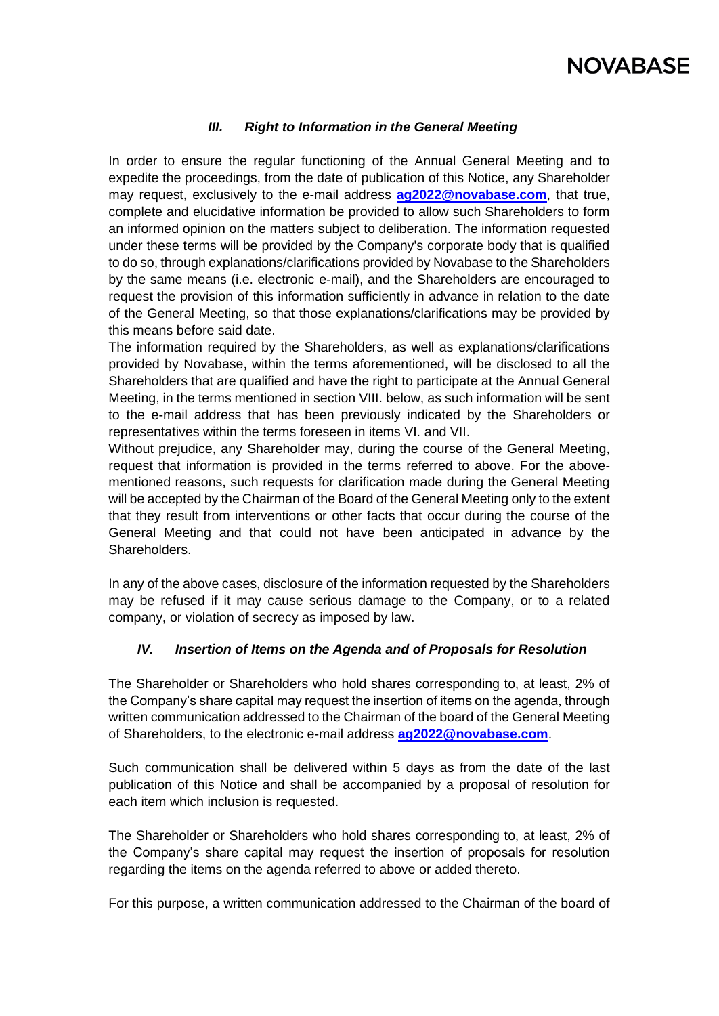# **NOVABASE**

# *III. Right to Information in the General Meeting*

In order to ensure the regular functioning of the Annual General Meeting and to expedite the proceedings, from the date of publication of this Notice, any Shareholder may request, exclusively to the e-mail address **ag2022@novabase.com**, that true, complete and elucidative information be provided to allow such Shareholders to form an informed opinion on the matters subject to deliberation. The information requested under these terms will be provided by the Company's corporate body that is qualified to do so, through explanations/clarifications provided by Novabase to the Shareholders by the same means (i.e. electronic e-mail), and the Shareholders are encouraged to request the provision of this information sufficiently in advance in relation to the date of the General Meeting, so that those explanations/clarifications may be provided by this means before said date.

The information required by the Shareholders, as well as explanations/clarifications provided by Novabase, within the terms aforementioned, will be disclosed to all the Shareholders that are qualified and have the right to participate at the Annual General Meeting, in the terms mentioned in section VIII. below, as such information will be sent to the e-mail address that has been previously indicated by the Shareholders or representatives within the terms foreseen in items VI. and VII.

Without prejudice, any Shareholder may, during the course of the General Meeting, request that information is provided in the terms referred to above. For the abovementioned reasons, such requests for clarification made during the General Meeting will be accepted by the Chairman of the Board of the General Meeting only to the extent that they result from interventions or other facts that occur during the course of the General Meeting and that could not have been anticipated in advance by the Shareholders.

In any of the above cases, disclosure of the information requested by the Shareholders may be refused if it may cause serious damage to the Company, or to a related company, or violation of secrecy as imposed by law.

# *IV. Insertion of Items on the Agenda and of Proposals for Resolution*

The Shareholder or Shareholders who hold shares corresponding to, at least, 2% of the Company's share capital may request the insertion of items on the agenda, through written communication addressed to the Chairman of the board of the General Meeting of Shareholders, to the electronic e-mail address **ag2022@novabase.com**.

Such communication shall be delivered within 5 days as from the date of the last publication of this Notice and shall be accompanied by a proposal of resolution for each item which inclusion is requested.

The Shareholder or Shareholders who hold shares corresponding to, at least, 2% of the Company's share capital may request the insertion of proposals for resolution regarding the items on the agenda referred to above or added thereto.

For this purpose, a written communication addressed to the Chairman of the board of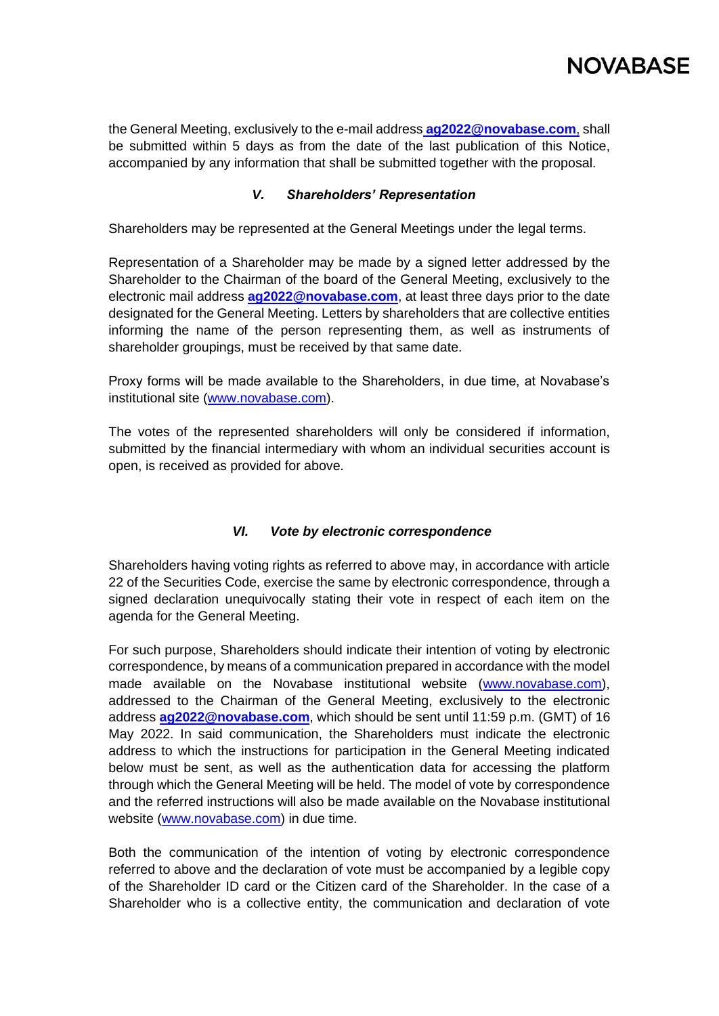

the General Meeting, exclusively to the e-mail address **ag2022@novabase.com**, shall be submitted within 5 days as from the date of the last publication of this Notice, accompanied by any information that shall be submitted together with the proposal.

# *V. Shareholders' Representation*

Shareholders may be represented at the General Meetings under the legal terms.

Representation of a Shareholder may be made by a signed letter addressed by the Shareholder to the Chairman of the board of the General Meeting, exclusively to the electronic mail address **[ag2022@novabase.com](mailto:ag2022@novabase.com)**, at least three days prior to the date designated for the General Meeting. Letters by shareholders that are collective entities informing the name of the person representing them, as well as instruments of shareholder groupings, must be received by that same date.

Proxy forms will be made available to the Shareholders, in due time, at Novabase's institutional site [\(www.novabase.com\)](http://www.novabase.com/).

The votes of the represented shareholders will only be considered if information, submitted by the financial intermediary with whom an individual securities account is open, is received as provided for above.

# *VI. Vote by electronic correspondence*

Shareholders having voting rights as referred to above may, in accordance with article 22 of the Securities Code, exercise the same by electronic correspondence, through a signed declaration unequivocally stating their vote in respect of each item on the agenda for the General Meeting.

For such purpose, Shareholders should indicate their intention of voting by electronic correspondence, by means of a communication prepared in accordance with the model made available on the Novabase institutional website (www.novabase.com), addressed to the Chairman of the General Meeting, exclusively to the electronic address **ag2022@novabase.com**, which should be sent until 11:59 p.m. (GMT) of 16 May 2022. In said communication, the Shareholders must indicate the electronic address to which the instructions for participation in the General Meeting indicated below must be sent, as well as the authentication data for accessing the platform through which the General Meeting will be held. The model of vote by correspondence and the referred instructions will also be made available on the Novabase institutional website (www.novabase.com) in due time.

Both the communication of the intention of voting by electronic correspondence referred to above and the declaration of vote must be accompanied by a legible copy of the Shareholder ID card or the Citizen card of the Shareholder. In the case of a Shareholder who is a collective entity, the communication and declaration of vote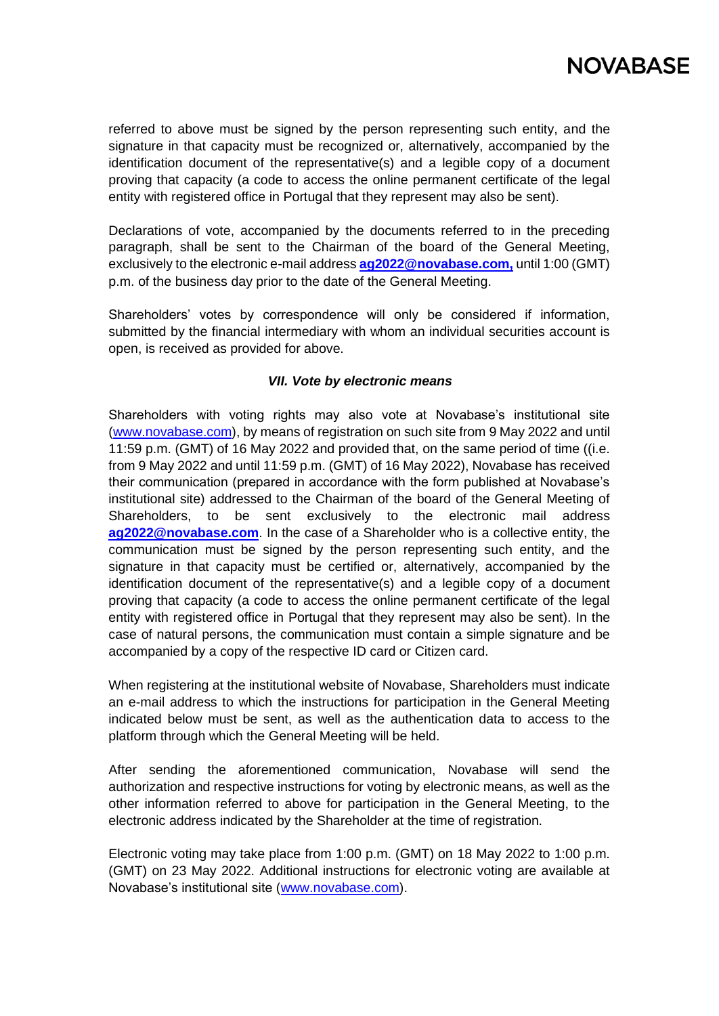

referred to above must be signed by the person representing such entity, and the signature in that capacity must be recognized or, alternatively, accompanied by the identification document of the representative(s) and a legible copy of a document proving that capacity (a code to access the online permanent certificate of the legal entity with registered office in Portugal that they represent may also be sent).

Declarations of vote, accompanied by the documents referred to in the preceding paragraph, shall be sent to the Chairman of the board of the General Meeting, exclusively to the electronic e-mail address **[ag2022@novabase.com,](mailto:ag2022@novabase.com)** until 1:00 (GMT) p.m. of the business day prior to the date of the General Meeting.

Shareholders' votes by correspondence will only be considered if information, submitted by the financial intermediary with whom an individual securities account is open, is received as provided for above.

#### *VII. Vote by electronic means*

Shareholders with voting rights may also vote at Novabase's institutional site [\(www.novabase.com\)](http://www.novabase.com/), by means of registration on such site from 9 May 2022 and until 11:59 p.m. (GMT) of 16 May 2022 and provided that, on the same period of time ((i.e. from 9 May 2022 and until 11:59 p.m. (GMT) of 16 May 2022), Novabase has received their communication (prepared in accordance with the form published at Novabase's institutional site) addressed to the Chairman of the board of the General Meeting of Shareholders, to be sent exclusively to the electronic mail address **[ag2022@novabase.com](mailto:ag2022@novabase.com)**. In the case of a Shareholder who is a collective entity, the communication must be signed by the person representing such entity, and the signature in that capacity must be certified or, alternatively, accompanied by the identification document of the representative(s) and a legible copy of a document proving that capacity (a code to access the online permanent certificate of the legal entity with registered office in Portugal that they represent may also be sent). In the case of natural persons, the communication must contain a simple signature and be accompanied by a copy of the respective ID card or Citizen card.

When registering at the institutional website of Novabase, Shareholders must indicate an e-mail address to which the instructions for participation in the General Meeting indicated below must be sent, as well as the authentication data to access to the platform through which the General Meeting will be held.

After sending the aforementioned communication, Novabase will send the authorization and respective instructions for voting by electronic means, as well as the other information referred to above for participation in the General Meeting, to the electronic address indicated by the Shareholder at the time of registration.

Electronic voting may take place from 1:00 p.m. (GMT) on 18 May 2022 to 1:00 p.m. (GMT) on 23 May 2022. Additional instructions for electronic voting are available at Novabase's institutional site [\(www.novabase.com\)](http://www.novabase.com/).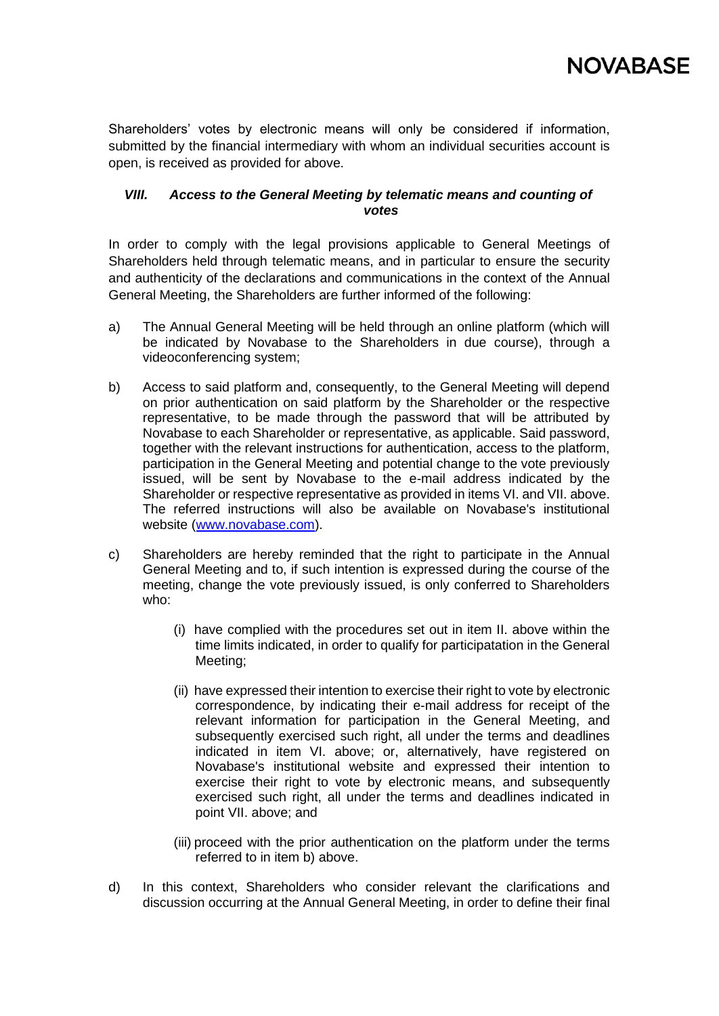

Shareholders' votes by electronic means will only be considered if information, submitted by the financial intermediary with whom an individual securities account is open, is received as provided for above.

### *VIII. Access to the General Meeting by telematic means and counting of votes*

In order to comply with the legal provisions applicable to General Meetings of Shareholders held through telematic means, and in particular to ensure the security and authenticity of the declarations and communications in the context of the Annual General Meeting, the Shareholders are further informed of the following:

- a) The Annual General Meeting will be held through an online platform (which will be indicated by Novabase to the Shareholders in due course), through a videoconferencing system;
- b) Access to said platform and, consequently, to the General Meeting will depend on prior authentication on said platform by the Shareholder or the respective representative, to be made through the password that will be attributed by Novabase to each Shareholder or representative, as applicable. Said password, together with the relevant instructions for authentication, access to the platform, participation in the General Meeting and potential change to the vote previously issued, will be sent by Novabase to the e-mail address indicated by the Shareholder or respective representative as provided in items VI. and VII. above. The referred instructions will also be available on Novabase's institutional website [\(www.novabase.com\)](http://www.novabase.com/).
- c) Shareholders are hereby reminded that the right to participate in the Annual General Meeting and to, if such intention is expressed during the course of the meeting, change the vote previously issued, is only conferred to Shareholders who:
	- (i) have complied with the procedures set out in item II. above within the time limits indicated, in order to qualify for participatation in the General Meeting;
	- (ii) have expressed their intention to exercise their right to vote by electronic correspondence, by indicating their e-mail address for receipt of the relevant information for participation in the General Meeting, and subsequently exercised such right, all under the terms and deadlines indicated in item VI. above; or, alternatively, have registered on Novabase's institutional website and expressed their intention to exercise their right to vote by electronic means, and subsequently exercised such right, all under the terms and deadlines indicated in point VII. above; and
	- (iii) proceed with the prior authentication on the platform under the terms referred to in item b) above.
- d) In this context, Shareholders who consider relevant the clarifications and discussion occurring at the Annual General Meeting, in order to define their final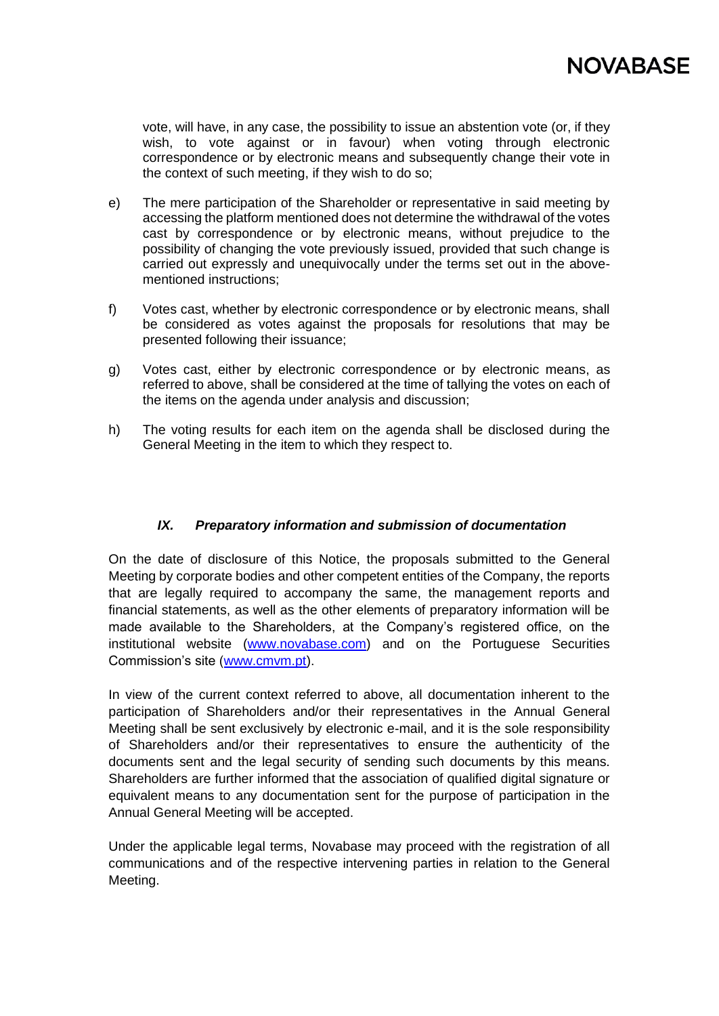

vote, will have, in any case, the possibility to issue an abstention vote (or, if they wish, to vote against or in favour) when voting through electronic correspondence or by electronic means and subsequently change their vote in the context of such meeting, if they wish to do so;

- e) The mere participation of the Shareholder or representative in said meeting by accessing the platform mentioned does not determine the withdrawal of the votes cast by correspondence or by electronic means, without prejudice to the possibility of changing the vote previously issued, provided that such change is carried out expressly and unequivocally under the terms set out in the abovementioned instructions;
- f) Votes cast, whether by electronic correspondence or by electronic means, shall be considered as votes against the proposals for resolutions that may be presented following their issuance;
- g) Votes cast, either by electronic correspondence or by electronic means, as referred to above, shall be considered at the time of tallying the votes on each of the items on the agenda under analysis and discussion;
- h) The voting results for each item on the agenda shall be disclosed during the General Meeting in the item to which they respect to.

# *IX. Preparatory information and submission of documentation*

On the date of disclosure of this Notice, the proposals submitted to the General Meeting by corporate bodies and other competent entities of the Company, the reports that are legally required to accompany the same, the management reports and financial statements, as well as the other elements of preparatory information will be made available to the Shareholders, at the Company's registered office, on the institutional website (www.novabase.com) and on the Portuguese Securities Commission's site [\(www.cmvm.pt\)](http://www.cmvm.pt/).

In view of the current context referred to above, all documentation inherent to the participation of Shareholders and/or their representatives in the Annual General Meeting shall be sent exclusively by electronic e-mail, and it is the sole responsibility of Shareholders and/or their representatives to ensure the authenticity of the documents sent and the legal security of sending such documents by this means. Shareholders are further informed that the association of qualified digital signature or equivalent means to any documentation sent for the purpose of participation in the Annual General Meeting will be accepted.

Under the applicable legal terms, Novabase may proceed with the registration of all communications and of the respective intervening parties in relation to the General Meeting.